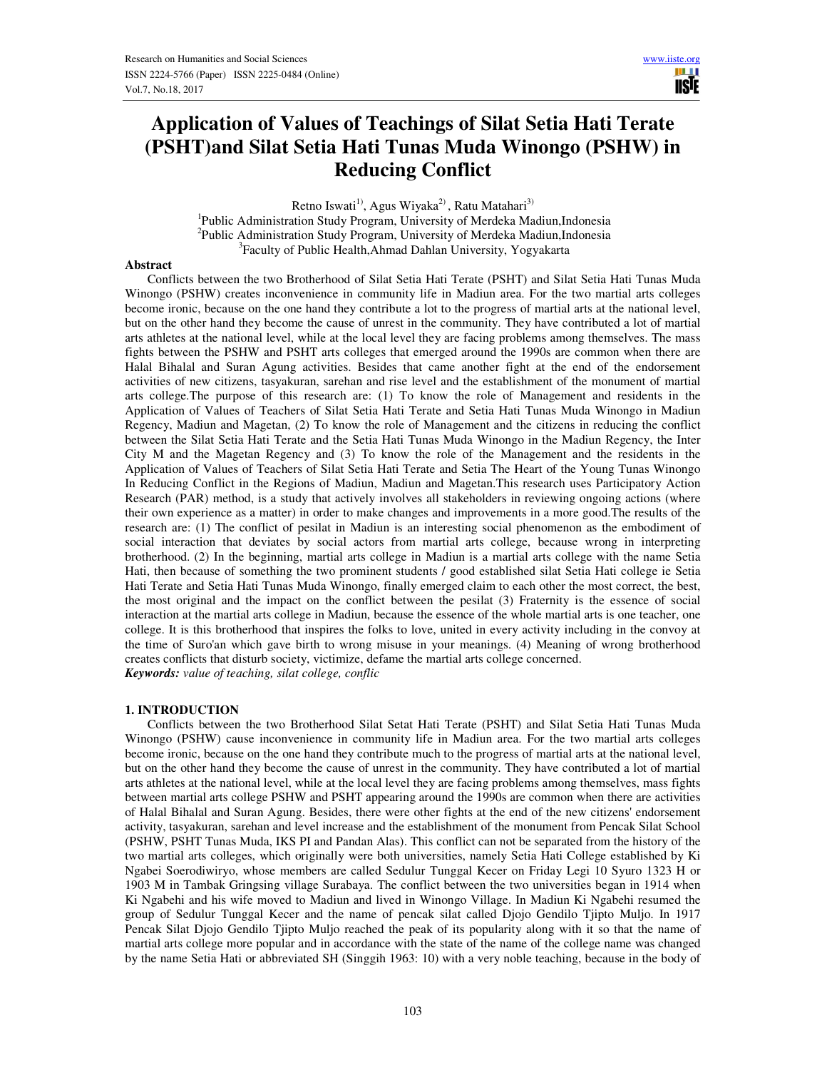m r **USIE** 

# **Application of Values of Teachings of Silat Setia Hati Terate (PSHT)and Silat Setia Hati Tunas Muda Winongo (PSHW) in Reducing Conflict**

Retno Iswati<sup>1)</sup>, Agus Wiyaka<sup>2)</sup>, Ratu Matahari<sup>3)</sup> <sup>1</sup>Public Administration Study Program, University of Merdeka Madiun, Indonesia <sup>2</sup>Public Administration Study Program, University of Merdeka Madiun, Indonesia 3 Faculty of Public Health,Ahmad Dahlan University, Yogyakarta

## **Abstract**

 Conflicts between the two Brotherhood of Silat Setia Hati Terate (PSHT) and Silat Setia Hati Tunas Muda Winongo (PSHW) creates inconvenience in community life in Madiun area. For the two martial arts colleges become ironic, because on the one hand they contribute a lot to the progress of martial arts at the national level, but on the other hand they become the cause of unrest in the community. They have contributed a lot of martial arts athletes at the national level, while at the local level they are facing problems among themselves. The mass fights between the PSHW and PSHT arts colleges that emerged around the 1990s are common when there are Halal Bihalal and Suran Agung activities. Besides that came another fight at the end of the endorsement activities of new citizens, tasyakuran, sarehan and rise level and the establishment of the monument of martial arts college.The purpose of this research are: (1) To know the role of Management and residents in the Application of Values of Teachers of Silat Setia Hati Terate and Setia Hati Tunas Muda Winongo in Madiun Regency, Madiun and Magetan, (2) To know the role of Management and the citizens in reducing the conflict between the Silat Setia Hati Terate and the Setia Hati Tunas Muda Winongo in the Madiun Regency, the Inter City M and the Magetan Regency and (3) To know the role of the Management and the residents in the Application of Values of Teachers of Silat Setia Hati Terate and Setia The Heart of the Young Tunas Winongo In Reducing Conflict in the Regions of Madiun, Madiun and Magetan.This research uses Participatory Action Research (PAR) method, is a study that actively involves all stakeholders in reviewing ongoing actions (where their own experience as a matter) in order to make changes and improvements in a more good.The results of the research are: (1) The conflict of pesilat in Madiun is an interesting social phenomenon as the embodiment of social interaction that deviates by social actors from martial arts college, because wrong in interpreting brotherhood. (2) In the beginning, martial arts college in Madiun is a martial arts college with the name Setia Hati, then because of something the two prominent students / good established silat Setia Hati college ie Setia Hati Terate and Setia Hati Tunas Muda Winongo, finally emerged claim to each other the most correct, the best, the most original and the impact on the conflict between the pesilat (3) Fraternity is the essence of social interaction at the martial arts college in Madiun, because the essence of the whole martial arts is one teacher, one college. It is this brotherhood that inspires the folks to love, united in every activity including in the convoy at the time of Suro'an which gave birth to wrong misuse in your meanings. (4) Meaning of wrong brotherhood creates conflicts that disturb society, victimize, defame the martial arts college concerned. *Keywords: value of teaching, silat college, conflic* 

#### **1. INTRODUCTION**

 Conflicts between the two Brotherhood Silat Setat Hati Terate (PSHT) and Silat Setia Hati Tunas Muda Winongo (PSHW) cause inconvenience in community life in Madiun area. For the two martial arts colleges become ironic, because on the one hand they contribute much to the progress of martial arts at the national level, but on the other hand they become the cause of unrest in the community. They have contributed a lot of martial arts athletes at the national level, while at the local level they are facing problems among themselves, mass fights between martial arts college PSHW and PSHT appearing around the 1990s are common when there are activities of Halal Bihalal and Suran Agung. Besides, there were other fights at the end of the new citizens' endorsement activity, tasyakuran, sarehan and level increase and the establishment of the monument from Pencak Silat School (PSHW, PSHT Tunas Muda, IKS PI and Pandan Alas). This conflict can not be separated from the history of the two martial arts colleges, which originally were both universities, namely Setia Hati College established by Ki Ngabei Soerodiwiryo, whose members are called Sedulur Tunggal Kecer on Friday Legi 10 Syuro 1323 H or 1903 M in Tambak Gringsing village Surabaya. The conflict between the two universities began in 1914 when Ki Ngabehi and his wife moved to Madiun and lived in Winongo Village. In Madiun Ki Ngabehi resumed the group of Sedulur Tunggal Kecer and the name of pencak silat called Djojo Gendilo Tjipto Muljo. In 1917 Pencak Silat Djojo Gendilo Tjipto Muljo reached the peak of its popularity along with it so that the name of martial arts college more popular and in accordance with the state of the name of the college name was changed by the name Setia Hati or abbreviated SH (Singgih 1963: 10) with a very noble teaching, because in the body of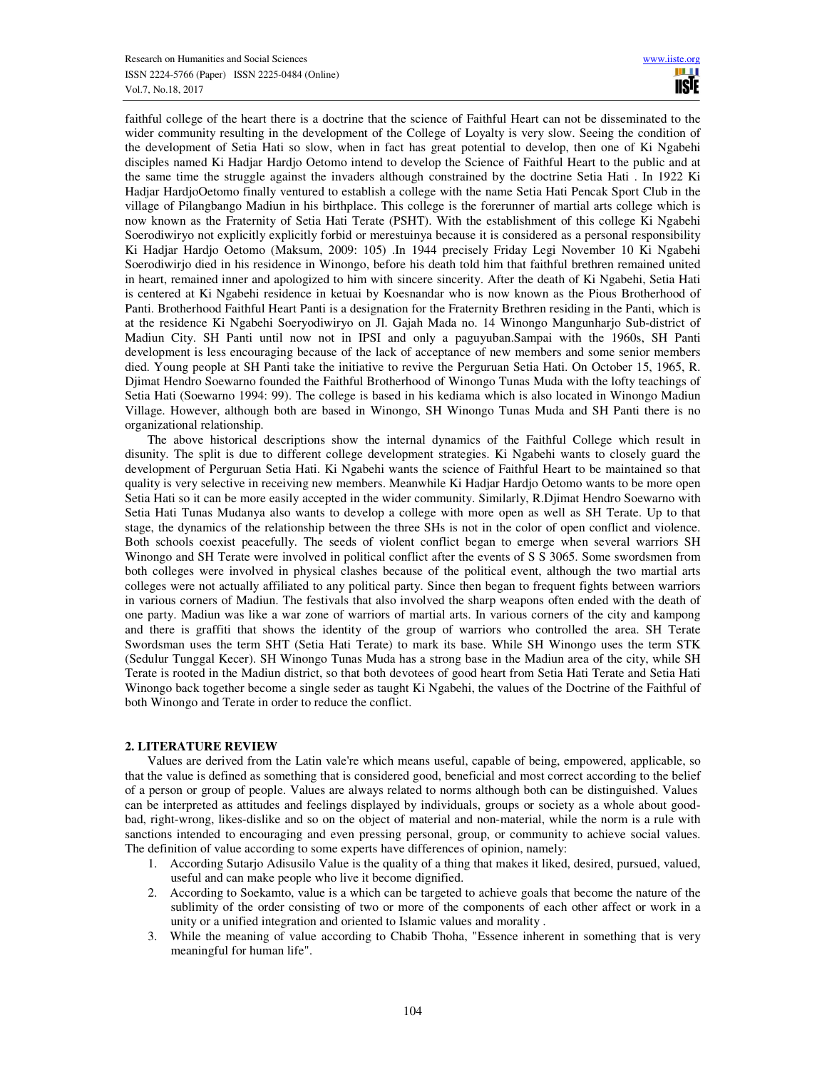faithful college of the heart there is a doctrine that the science of Faithful Heart can not be disseminated to the wider community resulting in the development of the College of Loyalty is very slow. Seeing the condition of the development of Setia Hati so slow, when in fact has great potential to develop, then one of Ki Ngabehi disciples named Ki Hadjar Hardjo Oetomo intend to develop the Science of Faithful Heart to the public and at the same time the struggle against the invaders although constrained by the doctrine Setia Hati . In 1922 Ki Hadjar HardjoOetomo finally ventured to establish a college with the name Setia Hati Pencak Sport Club in the village of Pilangbango Madiun in his birthplace. This college is the forerunner of martial arts college which is now known as the Fraternity of Setia Hati Terate (PSHT). With the establishment of this college Ki Ngabehi Soerodiwiryo not explicitly explicitly forbid or merestuinya because it is considered as a personal responsibility Ki Hadjar Hardjo Oetomo (Maksum, 2009: 105) .In 1944 precisely Friday Legi November 10 Ki Ngabehi Soerodiwirjo died in his residence in Winongo, before his death told him that faithful brethren remained united in heart, remained inner and apologized to him with sincere sincerity. After the death of Ki Ngabehi, Setia Hati is centered at Ki Ngabehi residence in ketuai by Koesnandar who is now known as the Pious Brotherhood of Panti. Brotherhood Faithful Heart Panti is a designation for the Fraternity Brethren residing in the Panti, which is at the residence Ki Ngabehi Soeryodiwiryo on Jl. Gajah Mada no. 14 Winongo Mangunharjo Sub-district of Madiun City. SH Panti until now not in IPSI and only a paguyuban.Sampai with the 1960s, SH Panti development is less encouraging because of the lack of acceptance of new members and some senior members died. Young people at SH Panti take the initiative to revive the Perguruan Setia Hati. On October 15, 1965, R. Djimat Hendro Soewarno founded the Faithful Brotherhood of Winongo Tunas Muda with the lofty teachings of Setia Hati (Soewarno 1994: 99). The college is based in his kediama which is also located in Winongo Madiun Village. However, although both are based in Winongo, SH Winongo Tunas Muda and SH Panti there is no organizational relationship.

 The above historical descriptions show the internal dynamics of the Faithful College which result in disunity. The split is due to different college development strategies. Ki Ngabehi wants to closely guard the development of Perguruan Setia Hati. Ki Ngabehi wants the science of Faithful Heart to be maintained so that quality is very selective in receiving new members. Meanwhile Ki Hadjar Hardjo Oetomo wants to be more open Setia Hati so it can be more easily accepted in the wider community. Similarly, R.Djimat Hendro Soewarno with Setia Hati Tunas Mudanya also wants to develop a college with more open as well as SH Terate. Up to that stage, the dynamics of the relationship between the three SHs is not in the color of open conflict and violence. Both schools coexist peacefully. The seeds of violent conflict began to emerge when several warriors SH Winongo and SH Terate were involved in political conflict after the events of S S 3065. Some swordsmen from both colleges were involved in physical clashes because of the political event, although the two martial arts colleges were not actually affiliated to any political party. Since then began to frequent fights between warriors in various corners of Madiun. The festivals that also involved the sharp weapons often ended with the death of one party. Madiun was like a war zone of warriors of martial arts. In various corners of the city and kampong and there is graffiti that shows the identity of the group of warriors who controlled the area. SH Terate Swordsman uses the term SHT (Setia Hati Terate) to mark its base. While SH Winongo uses the term STK (Sedulur Tunggal Kecer). SH Winongo Tunas Muda has a strong base in the Madiun area of the city, while SH Terate is rooted in the Madiun district, so that both devotees of good heart from Setia Hati Terate and Setia Hati Winongo back together become a single seder as taught Ki Ngabehi, the values of the Doctrine of the Faithful of both Winongo and Terate in order to reduce the conflict.

# **2. LITERATURE REVIEW**

 Values are derived from the Latin vale're which means useful, capable of being, empowered, applicable, so that the value is defined as something that is considered good, beneficial and most correct according to the belief of a person or group of people. Values are always related to norms although both can be distinguished. Values can be interpreted as attitudes and feelings displayed by individuals, groups or society as a whole about goodbad, right-wrong, likes-dislike and so on the object of material and non-material, while the norm is a rule with sanctions intended to encouraging and even pressing personal, group, or community to achieve social values. The definition of value according to some experts have differences of opinion, namely:

- 1. According Sutarjo Adisusilo Value is the quality of a thing that makes it liked, desired, pursued, valued, useful and can make people who live it become dignified.
- 2. According to Soekamto, value is a which can be targeted to achieve goals that become the nature of the sublimity of the order consisting of two or more of the components of each other affect or work in a unity or a unified integration and oriented to Islamic values and morality .
- 3. While the meaning of value according to Chabib Thoha, "Essence inherent in something that is very meaningful for human life".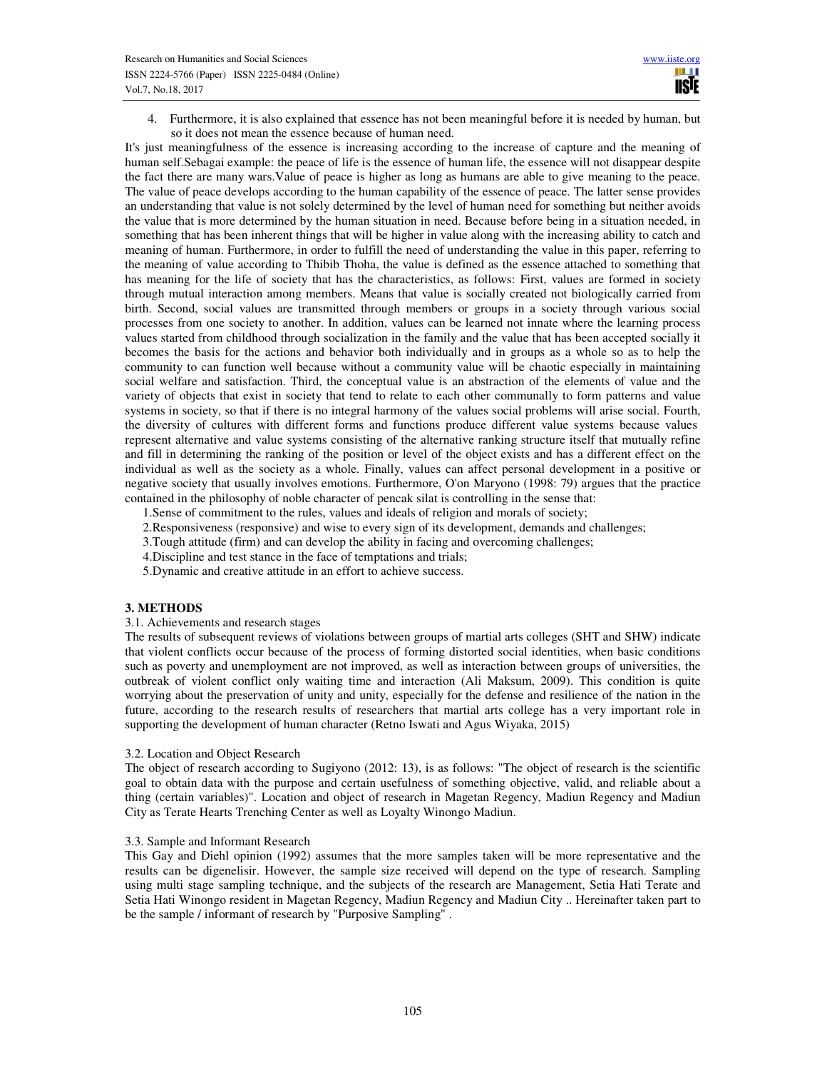4. Furthermore, it is also explained that essence has not been meaningful before it is needed by human, but so it does not mean the essence because of human need.

It's just meaningfulness of the essence is increasing according to the increase of capture and the meaning of human self.Sebagai example: the peace of life is the essence of human life, the essence will not disappear despite the fact there are many wars.Value of peace is higher as long as humans are able to give meaning to the peace. The value of peace develops according to the human capability of the essence of peace. The latter sense provides an understanding that value is not solely determined by the level of human need for something but neither avoids the value that is more determined by the human situation in need. Because before being in a situation needed, in something that has been inherent things that will be higher in value along with the increasing ability to catch and meaning of human. Furthermore, in order to fulfill the need of understanding the value in this paper, referring to the meaning of value according to Thibib Thoha, the value is defined as the essence attached to something that has meaning for the life of society that has the characteristics, as follows: First, values are formed in society through mutual interaction among members. Means that value is socially created not biologically carried from birth. Second, social values are transmitted through members or groups in a society through various social processes from one society to another. In addition, values can be learned not innate where the learning process values started from childhood through socialization in the family and the value that has been accepted socially it becomes the basis for the actions and behavior both individually and in groups as a whole so as to help the community to can function well because without a community value will be chaotic especially in maintaining social welfare and satisfaction. Third, the conceptual value is an abstraction of the elements of value and the variety of objects that exist in society that tend to relate to each other communally to form patterns and value systems in society, so that if there is no integral harmony of the values social problems will arise social. Fourth, the diversity of cultures with different forms and functions produce different value systems because values represent alternative and value systems consisting of the alternative ranking structure itself that mutually refine and fill in determining the ranking of the position or level of the object exists and has a different effect on the individual as well as the society as a whole. Finally, values can affect personal development in a positive or negative society that usually involves emotions. Furthermore, O'on Maryono (1998: 79) argues that the practice contained in the philosophy of noble character of pencak silat is controlling in the sense that:

1.Sense of commitment to the rules, values and ideals of religion and morals of society;

- 2.Responsiveness (responsive) and wise to every sign of its development, demands and challenges;
- 3.Tough attitude (firm) and can develop the ability in facing and overcoming challenges;
- 4.Discipline and test stance in the face of temptations and trials;
- 5.Dynamic and creative attitude in an effort to achieve success.

#### **3. METHODS**

## 3.1. Achievements and research stages

The results of subsequent reviews of violations between groups of martial arts colleges (SHT and SHW) indicate that violent conflicts occur because of the process of forming distorted social identities, when basic conditions such as poverty and unemployment are not improved, as well as interaction between groups of universities, the outbreak of violent conflict only waiting time and interaction (Ali Maksum, 2009). This condition is quite worrying about the preservation of unity and unity, especially for the defense and resilience of the nation in the future, according to the research results of researchers that martial arts college has a very important role in supporting the development of human character (Retno Iswati and Agus Wiyaka, 2015)

#### 3.2. Location and Object Research

The object of research according to Sugiyono (2012: 13), is as follows: "The object of research is the scientific goal to obtain data with the purpose and certain usefulness of something objective, valid, and reliable about a thing (certain variables)". Location and object of research in Magetan Regency, Madiun Regency and Madiun City as Terate Hearts Trenching Center as well as Loyalty Winongo Madiun.

#### 3.3. Sample and Informant Research

This Gay and Diehl opinion (1992) assumes that the more samples taken will be more representative and the results can be digenelisir. However, the sample size received will depend on the type of research. Sampling using multi stage sampling technique, and the subjects of the research are Management, Setia Hati Terate and Setia Hati Winongo resident in Magetan Regency, Madiun Regency and Madiun City .. Hereinafter taken part to be the sample / informant of research by "Purposive Sampling" .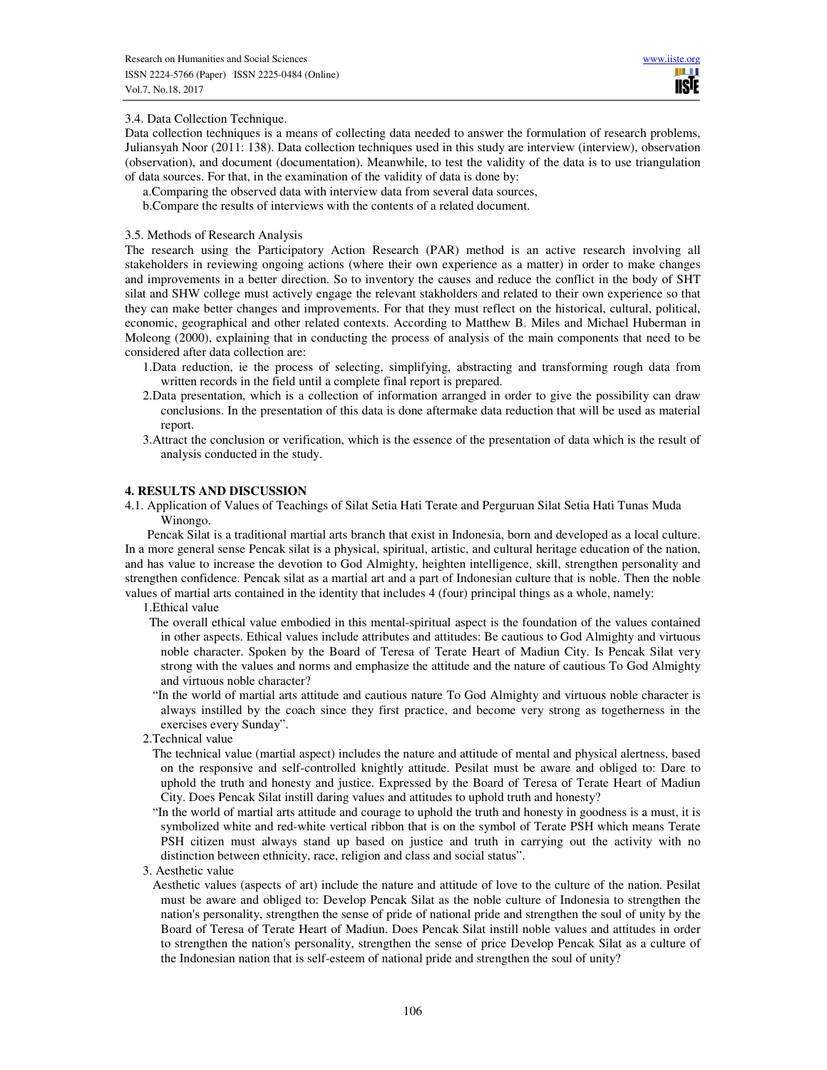## 3.4. Data Collection Technique.

Data collection techniques is a means of collecting data needed to answer the formulation of research problems, Juliansyah Noor (2011: 138). Data collection techniques used in this study are interview (interview), observation (observation), and document (documentation). Meanwhile, to test the validity of the data is to use triangulation of data sources. For that, in the examination of the validity of data is done by:

a.Comparing the observed data with interview data from several data sources,

b.Compare the results of interviews with the contents of a related document.

#### 3.5. Methods of Research Analysis

The research using the Participatory Action Research (PAR) method is an active research involving all stakeholders in reviewing ongoing actions (where their own experience as a matter) in order to make changes and improvements in a better direction. So to inventory the causes and reduce the conflict in the body of SHT silat and SHW college must actively engage the relevant stakholders and related to their own experience so that they can make better changes and improvements. For that they must reflect on the historical, cultural, political, economic, geographical and other related contexts. According to Matthew B. Miles and Michael Huberman in Moleong (2000), explaining that in conducting the process of analysis of the main components that need to be considered after data collection are:

- 1.Data reduction, ie the process of selecting, simplifying, abstracting and transforming rough data from written records in the field until a complete final report is prepared.
- 2.Data presentation, which is a collection of information arranged in order to give the possibility can draw conclusions. In the presentation of this data is done aftermake data reduction that will be used as material report.
- 3.Attract the conclusion or verification, which is the essence of the presentation of data which is the result of analysis conducted in the study.

#### **4. RESULTS AND DISCUSSION**

4.1. Application of Values of Teachings of Silat Setia Hati Terate and Perguruan Silat Setia Hati Tunas Muda Winongo.

 Pencak Silat is a traditional martial arts branch that exist in Indonesia, born and developed as a local culture. In a more general sense Pencak silat is a physical, spiritual, artistic, and cultural heritage education of the nation, and has value to increase the devotion to God Almighty, heighten intelligence, skill, strengthen personality and strengthen confidence. Pencak silat as a martial art and a part of Indonesian culture that is noble. Then the noble values of martial arts contained in the identity that includes 4 (four) principal things as a whole, namely:

1.Ethical value

- The overall ethical value embodied in this mental-spiritual aspect is the foundation of the values contained in other aspects. Ethical values include attributes and attitudes: Be cautious to God Almighty and virtuous noble character. Spoken by the Board of Teresa of Terate Heart of Madiun City. Is Pencak Silat very strong with the values and norms and emphasize the attitude and the nature of cautious To God Almighty and virtuous noble character?
- "In the world of martial arts attitude and cautious nature To God Almighty and virtuous noble character is always instilled by the coach since they first practice, and become very strong as togetherness in the exercises every Sunday".
- 2.Technical value
	- The technical value (martial aspect) includes the nature and attitude of mental and physical alertness, based on the responsive and self-controlled knightly attitude. Pesilat must be aware and obliged to: Dare to uphold the truth and honesty and justice. Expressed by the Board of Teresa of Terate Heart of Madiun City. Does Pencak Silat instill daring values and attitudes to uphold truth and honesty?
	- "In the world of martial arts attitude and courage to uphold the truth and honesty in goodness is a must, it is symbolized white and red-white vertical ribbon that is on the symbol of Terate PSH which means Terate PSH citizen must always stand up based on justice and truth in carrying out the activity with no distinction between ethnicity, race, religion and class and social status".
- 3. Aesthetic value
	- Aesthetic values (aspects of art) include the nature and attitude of love to the culture of the nation. Pesilat must be aware and obliged to: Develop Pencak Silat as the noble culture of Indonesia to strengthen the nation's personality, strengthen the sense of pride of national pride and strengthen the soul of unity by the Board of Teresa of Terate Heart of Madiun. Does Pencak Silat instill noble values and attitudes in order to strengthen the nation's personality, strengthen the sense of price Develop Pencak Silat as a culture of the Indonesian nation that is self-esteem of national pride and strengthen the soul of unity?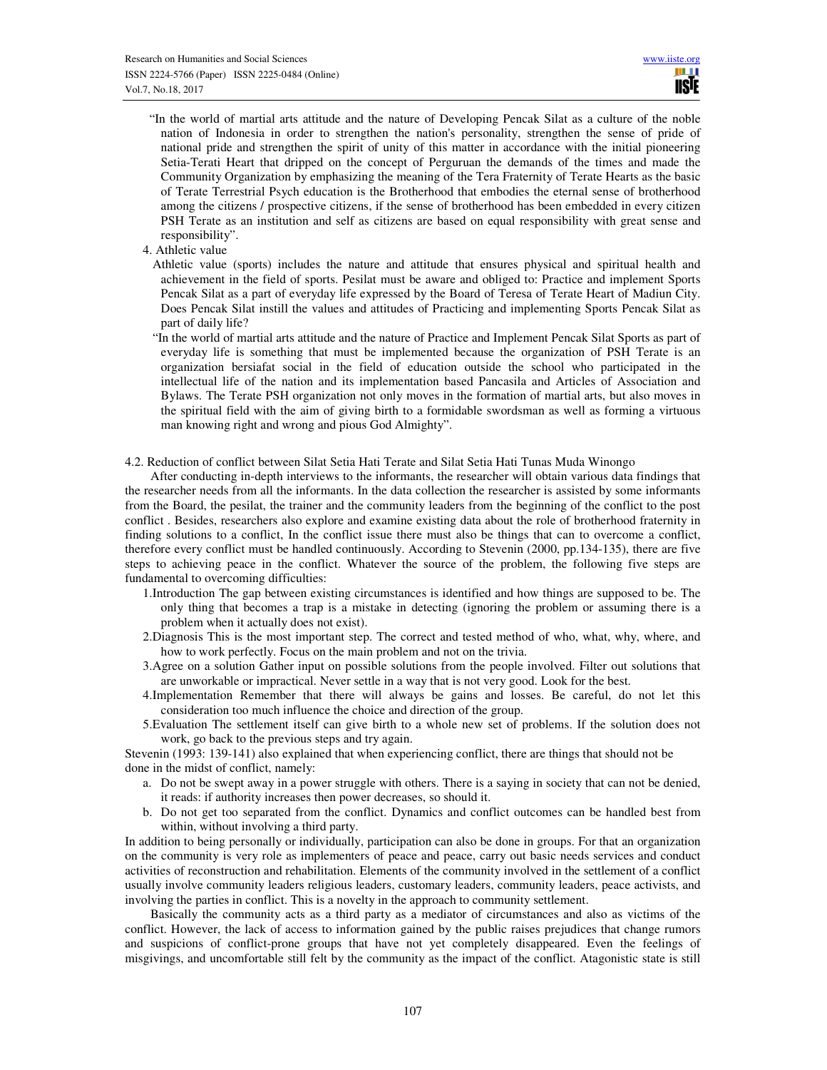- "In the world of martial arts attitude and the nature of Developing Pencak Silat as a culture of the noble nation of Indonesia in order to strengthen the nation's personality, strengthen the sense of pride of national pride and strengthen the spirit of unity of this matter in accordance with the initial pioneering Setia-Terati Heart that dripped on the concept of Perguruan the demands of the times and made the Community Organization by emphasizing the meaning of the Tera Fraternity of Terate Hearts as the basic of Terate Terrestrial Psych education is the Brotherhood that embodies the eternal sense of brotherhood among the citizens / prospective citizens, if the sense of brotherhood has been embedded in every citizen PSH Terate as an institution and self as citizens are based on equal responsibility with great sense and responsibility".
- 4. Athletic value
	- Athletic value (sports) includes the nature and attitude that ensures physical and spiritual health and achievement in the field of sports. Pesilat must be aware and obliged to: Practice and implement Sports Pencak Silat as a part of everyday life expressed by the Board of Teresa of Terate Heart of Madiun City. Does Pencak Silat instill the values and attitudes of Practicing and implementing Sports Pencak Silat as part of daily life?
	- "In the world of martial arts attitude and the nature of Practice and Implement Pencak Silat Sports as part of everyday life is something that must be implemented because the organization of PSH Terate is an organization bersiafat social in the field of education outside the school who participated in the intellectual life of the nation and its implementation based Pancasila and Articles of Association and Bylaws. The Terate PSH organization not only moves in the formation of martial arts, but also moves in the spiritual field with the aim of giving birth to a formidable swordsman as well as forming a virtuous man knowing right and wrong and pious God Almighty".
- 4.2. Reduction of conflict between Silat Setia Hati Terate and Silat Setia Hati Tunas Muda Winongo

 After conducting in-depth interviews to the informants, the researcher will obtain various data findings that the researcher needs from all the informants. In the data collection the researcher is assisted by some informants from the Board, the pesilat, the trainer and the community leaders from the beginning of the conflict to the post conflict . Besides, researchers also explore and examine existing data about the role of brotherhood fraternity in finding solutions to a conflict, In the conflict issue there must also be things that can to overcome a conflict, therefore every conflict must be handled continuously. According to Stevenin (2000, pp.134-135), there are five steps to achieving peace in the conflict. Whatever the source of the problem, the following five steps are fundamental to overcoming difficulties:

- 1.Introduction The gap between existing circumstances is identified and how things are supposed to be. The only thing that becomes a trap is a mistake in detecting (ignoring the problem or assuming there is a problem when it actually does not exist).
- 2.Diagnosis This is the most important step. The correct and tested method of who, what, why, where, and how to work perfectly. Focus on the main problem and not on the trivia.
- 3.Agree on a solution Gather input on possible solutions from the people involved. Filter out solutions that are unworkable or impractical. Never settle in a way that is not very good. Look for the best.
- 4.Implementation Remember that there will always be gains and losses. Be careful, do not let this consideration too much influence the choice and direction of the group.
- 5.Evaluation The settlement itself can give birth to a whole new set of problems. If the solution does not work, go back to the previous steps and try again.

Stevenin (1993: 139-141) also explained that when experiencing conflict, there are things that should not be done in the midst of conflict, namely:

- a. Do not be swept away in a power struggle with others. There is a saying in society that can not be denied, it reads: if authority increases then power decreases, so should it.
- b. Do not get too separated from the conflict. Dynamics and conflict outcomes can be handled best from within, without involving a third party.

In addition to being personally or individually, participation can also be done in groups. For that an organization on the community is very role as implementers of peace and peace, carry out basic needs services and conduct activities of reconstruction and rehabilitation. Elements of the community involved in the settlement of a conflict usually involve community leaders religious leaders, customary leaders, community leaders, peace activists, and involving the parties in conflict. This is a novelty in the approach to community settlement.

 Basically the community acts as a third party as a mediator of circumstances and also as victims of the conflict. However, the lack of access to information gained by the public raises prejudices that change rumors and suspicions of conflict-prone groups that have not yet completely disappeared. Even the feelings of misgivings, and uncomfortable still felt by the community as the impact of the conflict. Atagonistic state is still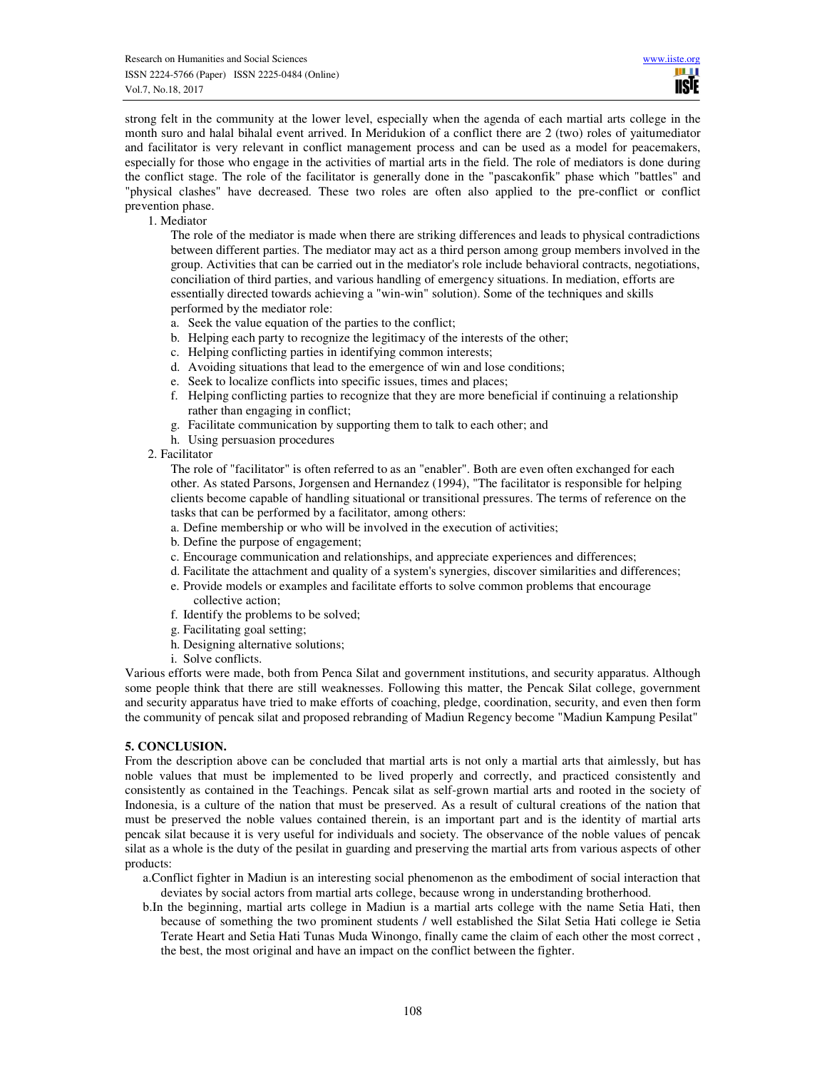strong felt in the community at the lower level, especially when the agenda of each martial arts college in the month suro and halal bihalal event arrived. In Meridukion of a conflict there are 2 (two) roles of yaitumediator and facilitator is very relevant in conflict management process and can be used as a model for peacemakers, especially for those who engage in the activities of martial arts in the field. The role of mediators is done during the conflict stage. The role of the facilitator is generally done in the "pascakonfik" phase which "battles" and "physical clashes" have decreased. These two roles are often also applied to the pre-conflict or conflict prevention phase.

1. Mediator

The role of the mediator is made when there are striking differences and leads to physical contradictions between different parties. The mediator may act as a third person among group members involved in the group. Activities that can be carried out in the mediator's role include behavioral contracts, negotiations, conciliation of third parties, and various handling of emergency situations. In mediation, efforts are essentially directed towards achieving a "win-win" solution). Some of the techniques and skills performed by the mediator role:

- a. Seek the value equation of the parties to the conflict;
- b. Helping each party to recognize the legitimacy of the interests of the other;
- c. Helping conflicting parties in identifying common interests;
- d. Avoiding situations that lead to the emergence of win and lose conditions;
- e. Seek to localize conflicts into specific issues, times and places;
- f. Helping conflicting parties to recognize that they are more beneficial if continuing a relationship rather than engaging in conflict;
- g. Facilitate communication by supporting them to talk to each other; and
- h. Using persuasion procedures
- 2. Facilitator

The role of "facilitator" is often referred to as an "enabler". Both are even often exchanged for each other. As stated Parsons, Jorgensen and Hernandez (1994), "The facilitator is responsible for helping clients become capable of handling situational or transitional pressures. The terms of reference on the tasks that can be performed by a facilitator, among others:

- a. Define membership or who will be involved in the execution of activities;
- b. Define the purpose of engagement;
- c. Encourage communication and relationships, and appreciate experiences and differences;
- d. Facilitate the attachment and quality of a system's synergies, discover similarities and differences;
- e. Provide models or examples and facilitate efforts to solve common problems that encourage collective action;
- f. Identify the problems to be solved;
- g. Facilitating goal setting;
- h. Designing alternative solutions;
- i. Solve conflicts.

Various efforts were made, both from Penca Silat and government institutions, and security apparatus. Although some people think that there are still weaknesses. Following this matter, the Pencak Silat college, government and security apparatus have tried to make efforts of coaching, pledge, coordination, security, and even then form the community of pencak silat and proposed rebranding of Madiun Regency become "Madiun Kampung Pesilat"

# **5. CONCLUSION.**

From the description above can be concluded that martial arts is not only a martial arts that aimlessly, but has noble values that must be implemented to be lived properly and correctly, and practiced consistently and consistently as contained in the Teachings. Pencak silat as self-grown martial arts and rooted in the society of Indonesia, is a culture of the nation that must be preserved. As a result of cultural creations of the nation that must be preserved the noble values contained therein, is an important part and is the identity of martial arts pencak silat because it is very useful for individuals and society. The observance of the noble values of pencak silat as a whole is the duty of the pesilat in guarding and preserving the martial arts from various aspects of other products:

a.Conflict fighter in Madiun is an interesting social phenomenon as the embodiment of social interaction that deviates by social actors from martial arts college, because wrong in understanding brotherhood.

b.In the beginning, martial arts college in Madiun is a martial arts college with the name Setia Hati, then because of something the two prominent students / well established the Silat Setia Hati college ie Setia Terate Heart and Setia Hati Tunas Muda Winongo, finally came the claim of each other the most correct , the best, the most original and have an impact on the conflict between the fighter.